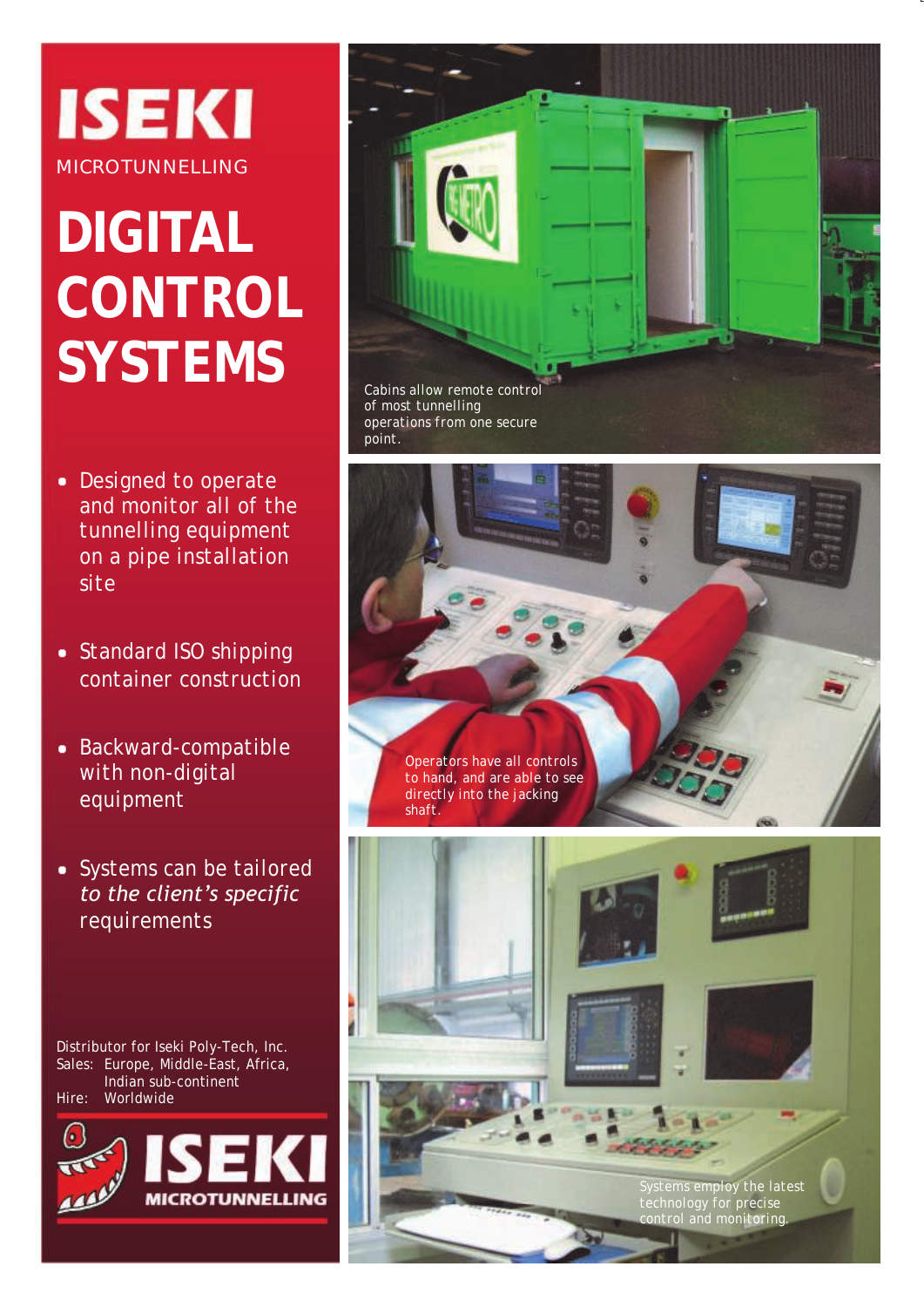## **ISEKI MICROTUNNELLING**

# **DIGITAL CONTROL SYSTEMS**

- *Designed to operate and monitor all of the tunnelling equipment on a pipe installation site*
- *Standard ISO shipping container construction*
- *Backward-compatible with non-digital equipment*
- *Systems can be tailored to the client's specific requirements*

Distributor for Iseki Poly-Tech, Inc. Sales: Europe, Middle-East, Africa, Indian sub-continent Hire: Worldwide





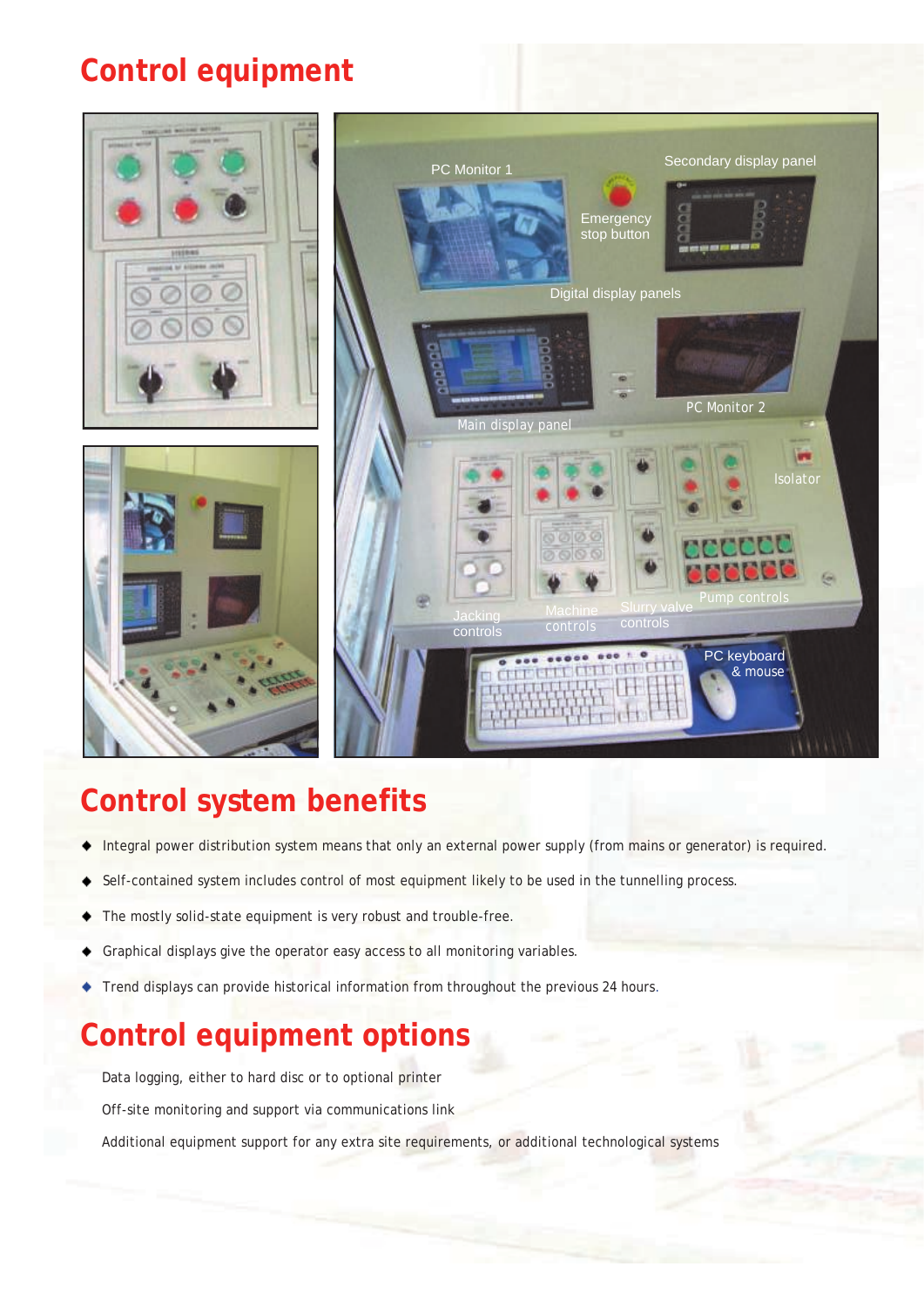#### **Control equipment**







### **Control system benefits**

- Integral power distribution system means that only an external power supply (from mains or generator) is required.
- Self-contained system includes control of most equipment likely to be used in the tunnelling process.
- The mostly solid-state equipment is very robust and trouble-free.
- Graphical displays give the operator easy access to all monitoring variables.
- Trend displays can provide historical information from throughout the previous 24 hours.

### **Control equipment options**

Data logging, either to hard disc or to optional printer

Off-site monitoring and support via communications link

Additional equipment support for any extra site requirements, or additional technological systems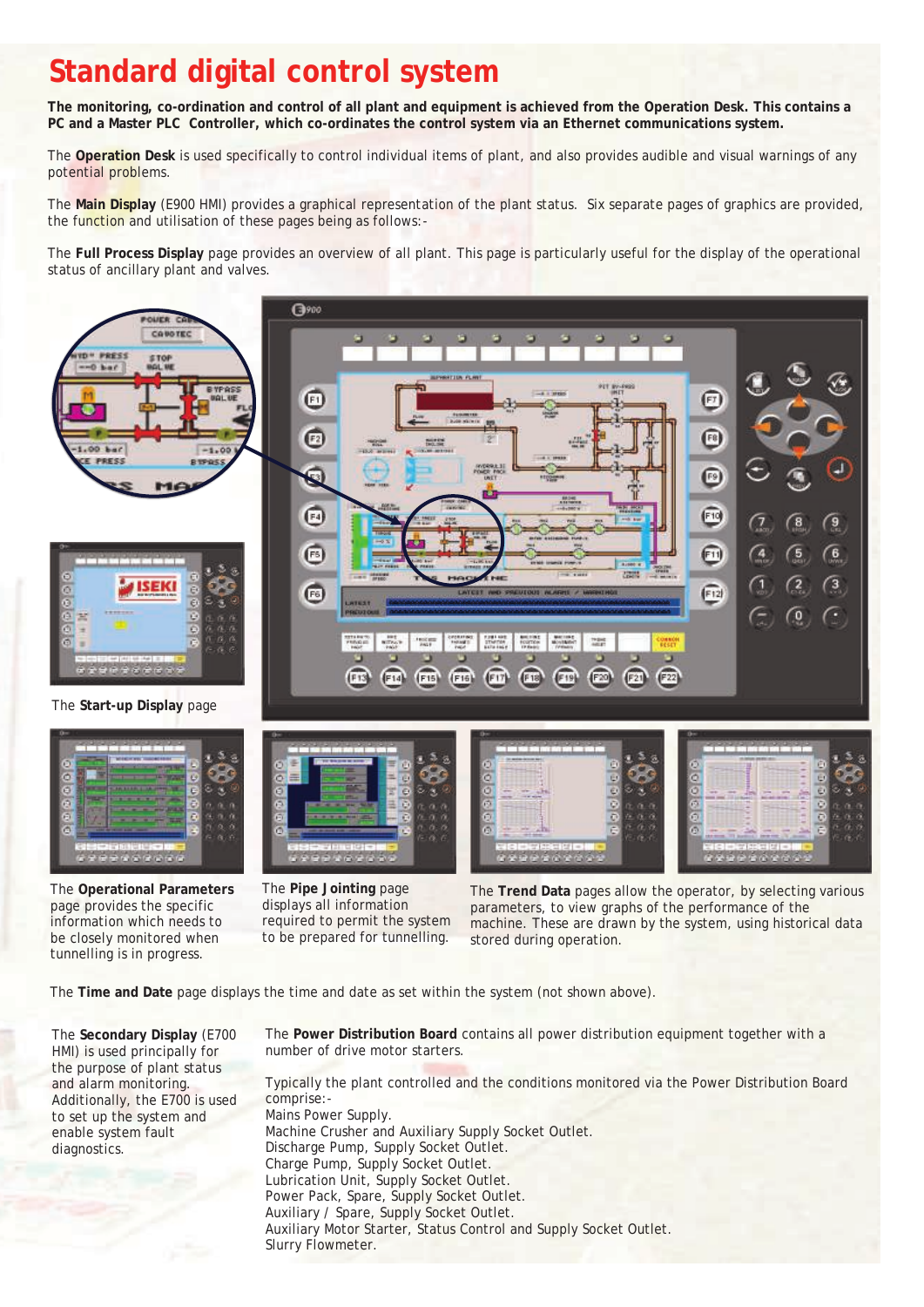#### **Standard digital control system**

**The monitoring, co-ordination and control of all plant and equipment is achieved from the Operation Desk. This contains a PC and a Master PLC Controller, which co-ordinates the control system via an Ethernet communications system.** 

The **Operation Desk** is used specifically to control individual items of plant, and also provides audible and visual warnings of any potential problems.

The **Main Display** (E900 HMI) provides a graphical representation of the plant status. Six separate pages of graphics are provided, the function and utilisation of these pages being as follows:-

The **Full Process Display** page provides an overview of all plant. This page is particularly useful for the display of the operational status of ancillary plant and valves.



The **Operational Parameters**  page provides the specific information which needs to be closely monitored when tunnelling is in progress.

The **Pipe Jointing** page displays all information required to permit the system to be prepared for tunnelling.

The **Trend Data** pages allow the operator, by selecting various parameters, to view graphs of the performance of the machine. These are drawn by the system, using historical data stored during operation.

The **Time and Date** page displays the time and date as set within the system (not shown above).

The **Secondary Display** (E700 HMI) is used principally for the purpose of plant status and alarm monitoring. Additionally, the E700 is used to set up the system and enable system fault diagnostics.

The **Power Distribution Board** contains all power distribution equipment together with a number of drive motor starters.

Typically the plant controlled and the conditions monitored via the Power Distribution Board comprise:- Mains Power Supply. Machine Crusher and Auxiliary Supply Socket Outlet. Discharge Pump, Supply Socket Outlet. Charge Pump, Supply Socket Outlet. Lubrication Unit, Supply Socket Outlet. Power Pack, Spare, Supply Socket Outlet. Auxiliary / Spare, Supply Socket Outlet. Auxiliary Motor Starter, Status Control and Supply Socket Outlet. Slurry Flowmeter.